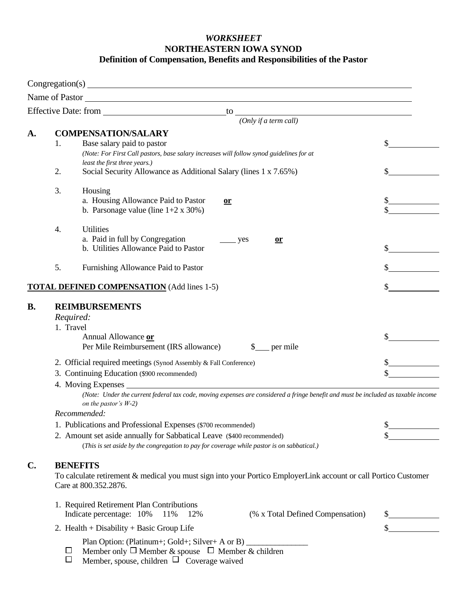## *WORKSHEET* **NORTHEASTERN IOWA SYNOD Definition of Compensation, Benefits and Responsibilities of the Pastor**

|                                                   | Name of Pastor                                                                                                                                                                                                                                                                                        |  |  |  |
|---------------------------------------------------|-------------------------------------------------------------------------------------------------------------------------------------------------------------------------------------------------------------------------------------------------------------------------------------------------------|--|--|--|
|                                                   | Effective Date: from<br>to<br><u> 1980 - Johann Barn, mars ann an t-Amhain Aonaich an t-Aonaich an t-Aonaich an t-Aonaich an t-Aonaich an t-Aon</u>                                                                                                                                                   |  |  |  |
|                                                   | (Only if a term call)                                                                                                                                                                                                                                                                                 |  |  |  |
| A.                                                | <b>COMPENSATION/SALARY</b><br>Base salary paid to pastor<br>1.<br>(Note: For First Call pastors, base salary increases will follow synod guidelines for at<br>least the first three years.)                                                                                                           |  |  |  |
|                                                   | 2.<br>Social Security Allowance as Additional Salary (lines 1 x 7.65%)                                                                                                                                                                                                                                |  |  |  |
|                                                   | 3.<br>Housing<br>a. Housing Allowance Paid to Pastor<br>or<br>b. Parsonage value (line $1+2 \times 30\%$ )                                                                                                                                                                                            |  |  |  |
|                                                   | <b>Utilities</b><br>4.<br>a. Paid in full by Congregation<br>yes<br>or<br>b. Utilities Allowance Paid to Pastor                                                                                                                                                                                       |  |  |  |
|                                                   | 5.<br>Furnishing Allowance Paid to Pastor                                                                                                                                                                                                                                                             |  |  |  |
| <b>TOTAL DEFINED COMPENSATION</b> (Add lines 1-5) |                                                                                                                                                                                                                                                                                                       |  |  |  |
| <b>B.</b>                                         | <b>REIMBURSEMENTS</b><br>Required:<br>1. Travel<br>Annual Allowance or<br>Per Mile Reimbursement (IRS allowance)<br>per mile                                                                                                                                                                          |  |  |  |
|                                                   | 2. Official required meetings (Synod Assembly & Fall Conference)<br>3. Continuing Education (\$900 recommended)<br>4. Moving Expenses<br>(Note: Under the current federal tax code, moving expenses are considered a fringe benefit and must be included as taxable income<br>on the pastor's $W-2$ ) |  |  |  |
|                                                   | Recommended:                                                                                                                                                                                                                                                                                          |  |  |  |
|                                                   | 1. Publications and Professional Expenses (\$700 recommended)                                                                                                                                                                                                                                         |  |  |  |
|                                                   | 2. Amount set aside annually for Sabbatical Leave (\$400 recommended)<br>(This is set aside by the congregation to pay for coverage while pastor is on sabbatical.)                                                                                                                                   |  |  |  |
| $\mathbf{C}$ .                                    | <b>BENEFITS</b><br>To calculate retirement & medical you must sign into your Portico EmployerLink account or call Portico Customer<br>Care at 800.352.2876.                                                                                                                                           |  |  |  |
|                                                   | 1. Required Retirement Plan Contributions<br>(% x Total Defined Compensation)<br>Indicate percentage: 10%<br>11%<br>12%                                                                                                                                                                               |  |  |  |
|                                                   | 2. Health + Disability + Basic Group Life                                                                                                                                                                                                                                                             |  |  |  |
|                                                   | Plan Option: (Platinum+; Gold+; Silver+ A or B)                                                                                                                                                                                                                                                       |  |  |  |

- Member only  $\Box$  Member & spouse  $\Box$  Member & children
- Member, spouse, children  $\Box$  Coverage waived